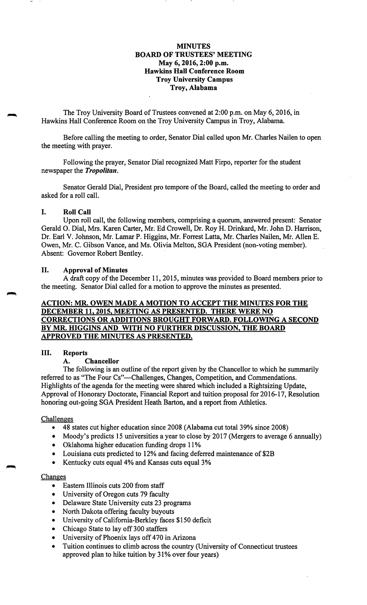## **MINUTES BOARD OF TRUSTEES' MEETING May 6, 2016, 2:00 p.m. Hawkins Hall Conference Room Troy University Campus Troy, Alabama**

The Troy University Board of Trustees convened at 2:00 p.m. on May 6, 2016, in Hawkins Hall Conference Room on the Troy University Campus in Troy, Alabama.

Before calling the meeting to order, Senator Dial called upon Mr. Charles Nailen to open the meeting with prayer.

Following the prayer, Senator Dial recognized Matt Firpo, reporter for the student newspaper the *Tropolitan.* 

Senator Gerald Dial, President pro tempore of the Board, called the meeting to order and asked for a roll call.

#### I. **Roll Call**

Upon roll call, the following members, comprising a quorum, answered present: Senator Gerald 0. Dial, Mrs. Karen Carter, Mr. Ed Crowell, Dr. Roy H. Drinkard, Mr. John D. Harrison, Dr. Earl V. Johnson, Mr. Lamar P. Higgins, Mr. Forrest Latta, Mr. Charles Nailen, Mr. Allen E. Owen, Mr. C. Gibson Vance, and Ms. Olivia Melton, SGA President (non-voting member). Absent: Governor Robert Bentley.

#### II. **Approval of Minutes**

A draft copy of the December 11, 2015, minutes was provided to Board members prior to the meeting. Senator Dial called for a motion to approve the minutes as presented.

## **ACTION: MR. OWEN MADE A MOTION TO ACCEPT THE MINUTES FOR THE DECEMBER 11, 2015, MEETING AS PRESENTED. THERE WERE NO CORRECTIONS OR ADDITIONS BROUGHT FORWARD. FOLLOWING A SECOND BY MR. HIGGINS AND WITH NO FURTHER DISCUSSION, THE BOARD APPROVED THE MINUTES AS PRESENTED.**

#### III. **Reports**

#### **A. Chancellor**

The following is an outline of the report given by the Chancellor to which he summarily referred to as "The Four Cs"-Challenges, Changes, Competition, and Commendations. Highlights of the agenda for the meeting were shared which included a Rightsizing Update, Approval of Honorary Doctorate, Financial Report and tuition proposal for 2016-17, Resolution honoring out-going SGA President Heath Barton, and a report from Athletics.

#### **Challenges**

- 48 states cut higher education since 2008 (Alabama cut total 39% since 2008)
- Moody's predicts 15 universities a year to close by 2017 (Mergers to average 6 annually)
- Oklahoma higher education funding drops 11%
- Louisiana cuts predicted to 12% and facing deferred maintenance of \$2B
- Kentucky cuts equal 4% and Kansas cuts equal 3%

### **Changes**

- Eastern Illinois cuts 200 from staff
- University of Oregon cuts 79 faculty
- Delaware State University cuts 23 programs
- North Dakota offering faculty buyouts
- University of California-Berkley faces \$150 deficit
- Chicago State to lay off 300 staffers
- University of Phoenix lays off 470 in Arizona
- Tuition continues to climb across the country (University of Connecticut trustees approved plan to hike tuition by 31% over four years)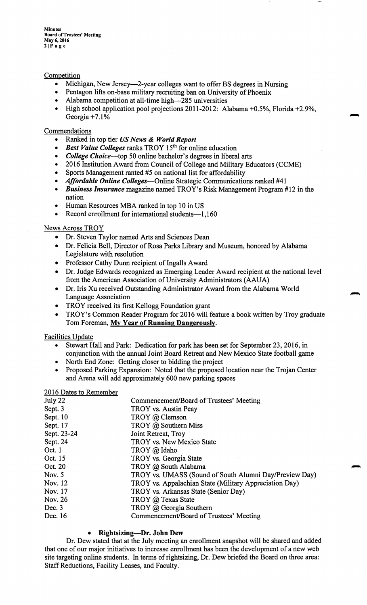**Minutes Board of Trustees' Meeting May6,2016 21Page** 

## Competition

- Michigan, New Jersey—2-year colleges want to offer BS degrees in Nursing
- Pentagon lifts on-base military recruiting ban on University of Phoenix
- Alabama competition at all-time high-285 universities
- High school application pool projections 2011-2012: Alabama +0.5%, Florida +2.9%, Georgia  $+7.1\%$

### Commendations

- Ranked in top tier *US News* & *World Report*
- *Best Value Colleges* ranks TROY 15<sup>th</sup> for online education
- *College Choice*—top 50 online bachelor's degrees in liberal arts
- 2016 Institution Award from Council of College and Military Educators (CCME)
- Sports Management ranted #5 on national list for affordability
- *Affordable Online Colleges-Online* Strategic Communications ranked #41
- *Business Insurance* magazine named TROY's Risk Management Program #12 in the nation
- Human Resources MBA ranked in top 10 in US
- Record enrollment for international students-1,160

### News Across TROY

- Dr. Steven Taylor named Arts and Sciences Dean
- Dr. Felicia Bell, Director of Rosa Parks Library and Museum, honored by Alabama Legislature with resolution
- Professor Cathy Dunn recipient of Ingalls Award
- Dr. Judge Edwards recognized as Emerging Leader Award recipient at the national level from the American Association of University Administrators (AAUA)
- Dr. Iris Xu received Outstanding Administrator Award from the Alabama World Language Association
- TROY received its first Kellogg Foundation grant
- TROY's Common Reader Program for 2016 will feature a book written by Troy graduate Tom Foreman, **My Year of Running Dangerously.**

## Facilities Update

- Stewart Hall and Park: Dedication for park has been set for September 23, 2016, in conjunction with the annual Joint Board Retreat and New Mexico State football game
- North End Zone: Getting closer to bidding the project
- Proposed Parking Expansion: Noted that the proposed location near the Trojan Center and Arena will add approximately 600 new parking spaces

#### 2016 Dates to Remember

| July 22     | Commencement/Board of Trustees' Meeting                |
|-------------|--------------------------------------------------------|
| Sept. 3     | TROY vs. Austin Peay                                   |
| Sept. 10    | TROY @ Clemson                                         |
| Sept. 17    | TROY @ Southern Miss                                   |
| Sept. 23-24 | Joint Retreat, Troy                                    |
| Sept. 24    | TROY vs. New Mexico State                              |
| Oct. 1      | TROY @ Idaho                                           |
| Oct. 15     | TROY vs. Georgia State                                 |
| Oct. 20     | TROY @ South Alabama                                   |
| Nov. 5      | TROY vs. UMASS (Sound of South Alumni Day/Preview Day) |
| Nov. 12     | TROY vs. Appalachian State (Military Appreciation Day) |
| Nov. 17     | TROY vs. Arkansas State (Senior Day)                   |
| Nov. 26     | TROY @ Texas State                                     |
| Dec. 3      | TROY @ Georgia Southern                                |
| Dec. 16     | Commencement/Board of Trustees' Meeting                |
|             |                                                        |

## • **Rightsizing-Dr. John Dew**

Dr. Dew stated that at the July meeting an enrollment snapshot will be shared and added that one of our major initiatives to increase enrollment has been the development of a new web site targeting online students. In terms of rightsizing, Dr. Dew briefed the Board on three area: Staff Reductions, Facility Leases, and Faculty.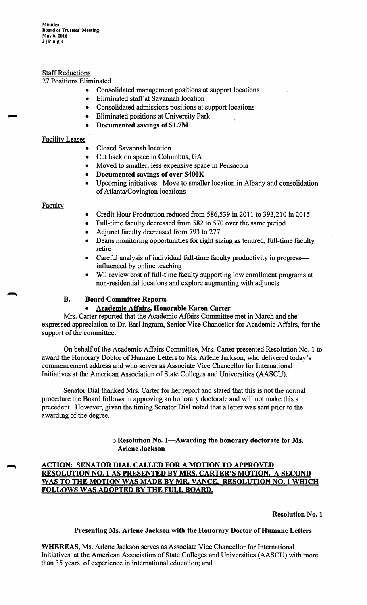**Minutes Board of Trustees' Meeting May 6, 2016 llPage** 

### **Staff Reductions**

### 27 Positions Eliminated

- Consolidated management positions at support locations
- Eliminated staff at Savannah location
- Consolidated admissions positions at support locations
- Eliminated positions at University Park
- **Documented savings of \$1. 7M**

### Facility Leases

- Closed Savannah location
- Cut back on space in Columbus, GA
- Moved to smaller, less expensive space in Pensacola
- **Documented savings of over \$400K**
- Upcoming initiatives: Move to smaller location in Albany and consolidation of Atlanta/Covington locations

### **Faculty**

- Credit Hour Production reduced from 586,539 in 2011 to 393,210 in 2015
- Full-time faculty decreased from 582 to 570 over the same period
- Adjunct faculty decreased from 793 to 277
- Deans monitoring opportunities for right sizing as tenured, full-time faculty retire
- Careful analysis of individual full-time faculty productivity in progressinfluenced by online teaching
- Wil review cost of full-time faculty supporting low enrollment programs at non-residential locations and explore augmenting with adjuncts

### **B. Board Committee Reports**

### • **Academic Affairs, Honorable Karen Carter**

Mrs. Carter reported that the Academic Affairs Committee met in March and she expressed appreciation to Dr. Earl Ingram, Senior Vice Chancellor for Academic Affairs, for the support of the committee.

On behalf of the Academic Affairs Committee, Mrs. Carter presented Resolution No. 1 to award the Honorary Doctor of Humane Letters to Ms. Arlene Jackson, who delivered today's commencement address and who serves as Associate Vice Chancellor for International Initiatives at the American Association of State Colleges and Universities (AASCU).

Senator Dial thanked Mrs. Carter for her report and stated that this is not the normal procedure the Board follows in approving an honorary doctorate and will not make this a precedent. However, given the timing Senator Dial noted that a letter was sent prior to the awarding of the degree.

> o **Resolution No. I-Awarding the honorary doctorate for Ms. Arlene Jackson**

# **ACTION: SENATOR DIAL CALLED FOR A MOTION TO APPROVED RESOLUTION NO. 1 AS PRESENTED BY MRS. CARTER'S MOTION. A SECOND WAS TO THE MOTION WAS MADE BY MR. VANCE. RESOLUTION NO. 1 WHICH FOLLOWS WAS ADOPTED BY THE FULL BOARD.**

**Resolution No. 1** 

#### **Presenting Ms. Arlene Jackson with the Honorary Doctor of Humane Letters**

**WHEREAS,** Ms. Arlene Jackson serves as Associate Vice Chancellor for International Initiatives at the American Association of State Colleges and Universities (AAS CU) with more than 35 years of experience in international education; and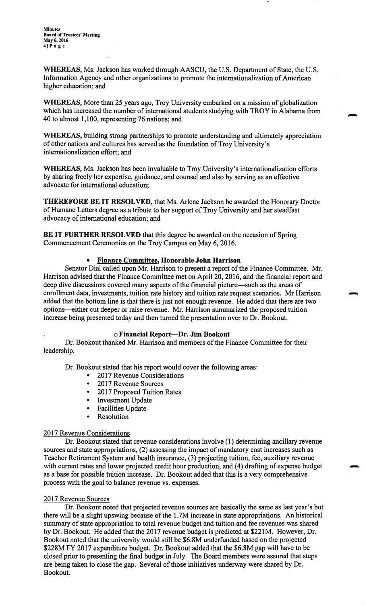**WHEREAS,** Ms. Jackson has worked through AASCU, the U.S. Department of State, the U.S. Information Agency and other organizations to promote the internationalization of American higher education; and

**WHEREAS,** More than 25 years ago, Troy University embarked on a mission of globalization which has increased the number of international students studying with TROY in Alabama from 40 to almost 1,100, representing 76 nations; and

**WHEREAS,** building strong partnerships to promote understanding and ultimately appreciation of other nations and cultures has served as the foundation of Troy University's internationalization effort; and

**WHEREAS,** Ms. Jackson has been invaluable to Troy University's internationalization efforts by sharing freely her expertise, guidance, and counsel and also by serving as an effective advocate for international education;

**THEREFORE BE IT RESOLVED,** that Ms. Arlene Jackson be awarded the Honorary Doctor of Humane Letters degree as a tribute to her support of Troy University and her steadfast advocacy of international education; and

**BE IT FURTHER RESOLVED** that this degree be awarded on the occasion of Spring Commencement Ceremonies on the Troy Campus on May 6, 2016.

### • **Finance Committee, Honorable John Harrison**

Senator Dial called upon Mr. Harrison to present a report of the Finance Committee. Mr. Harrison advised that the Finance Committee met on April 20, 2016, and the financial report and deep dive discussions covered many aspects of the financial picture—such as the areas of enrollment data, investments, tuition rate history and tuition rate request scenarios. Mr Harrison added that the bottom line is that there is just not enough revenue. He added that there are two options-either cut deeper or raise revenue. Mr. Harrison summarized the proposed tuition increase being presented today and then turned the presentation over to Dr. Bookout.

#### o **Financial Report-Dr. Jim Bookout**

Dr. Bookout thanked Mr. Harrison and members of the Finance Committee for their leadership.

Dr. Bookout stated that his report would cover the following areas:

- 2017 Revenue Considerations
- 2017 Revenue Sources
- 2017 Proposed Tuition Rates
- Investment Update
- Facilities Update<br>• Resolution
- **Resolution**

## 2017 Revenue Considerations

Dr. Bookout stated that revenue considerations involve (1) determining ancillary revenue sources and state appropriations, (2) assessing the impact of mandatory cost increases such as Teacher Retirement System and health insurance, (3) projecting tuition, fee, auxiliary revenue with current rates and lower projected credit hour production, and (4) drafting of expense budget as a base for possible tuition increase. Dr. Bookout added that this is a very comprehensive process with the goal to balance revenue vs. expenses.

#### 2017 Revenue Sources

Dr. Bookout noted that projected revenue sources are basically the same as last year's but there will be a slight upswing because of the 1. 7M increase in state appropriations. An historical summary of state appropriation to total revenue budget and tuition and fee revenues was shared by Dr. Bookout. He added that the 2017 revenue budget is predicted at \$221M. However, Dr. Bookout noted that the university would still be \$6.8M underfunded based on the projected \$228M FY 2017 expenditure budget. Dr. Bookout added that the \$6.8M gap will have to be closed prior to presenting the final budget in July. The Board members were assured that steps are being taken to close the gap. Several of those initiatives underway were shared by Dr. Bookout.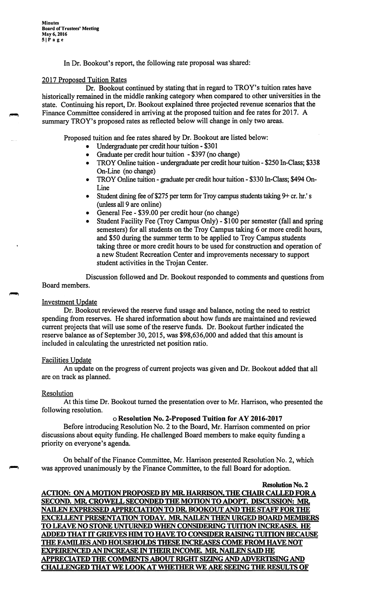In Dr. Bookout's report, the following rate proposal was shared:

### 2017 Proposed Tuition Rates

Dr. Bookout continued by stating that in regard to TROY's tuition rates have historically remained in the middle ranking category when compared to other universities in the state. Continuing his report, Dr. Bookout explained three projected revenue scenarios that the Finance Committee considered in arriving at the proposed tuition and fee rates for 2017. A summary TROY's proposed rates as reflected below will change in only two areas.

Proposed tuition and fee rates shared by Dr. Bookout are listed below:

- Undergraduate per credit hour tuition \$301
- Graduate per credit hour tuition \$397 (no change)
- TROY Online tuition undergraduate per credit hour tuition \$250 In-Class; \$338 On-Line (no change)
- TROY Online tuition graduate per credit hour tuition \$330 In-Class; \$494 On-**Line**
- Student dining fee of \$275 per term for Troy campus students taking 9+ cr. hr.'s (unless all 9 are online)
- General Fee \$39.00 per credit hour (no change)
- Student Facility Fee (Troy Campus Only) \$100 per semester (fall and spring semesters) for all students on the Troy Campus taking 6 or more credit hours, and \$50 during the summer term to be applied to Troy Campus students taking three or more credit hours to be used for construction and operation of a new Student Recreation Center and improvements necessary to support student activities in the Trojan Center.

Discussion followed and Dr. Bookout responded to comments and questions from Board members.

### Investment Update

Dr. Bookout reviewed the reserve fund usage and balance, noting the need to restrict spending from reserves. He shared information about how funds are maintained and reviewed current projects that will use some of the reserve funds. Dr. Bookout further indicated the reserve balance as of September 30, 2015, was \$98,636,000 and added that this amount is included in calculating the unrestricted net position ratio.

#### Facilities Update

An update on the progress of current projects was given and Dr. Bookout added that all are on track as planned.

## Resolution

At this time Dr. Bookout turned the presentation over to Mr. Harrison, who presented the following resolution.

## o **Resolution No. 2-Proposed Tuition for A Y 2016-2017**

Before introducing Resolution No. 2 to the Board, Mr. Harrison commented on prior discussions about equity funding. He challenged Board members to make equity funding a priority on everyone's agenda.

On behalf of the Finance Committee, Mr. Harrison presented Resolution No. 2, which was approved unanimously by the Finance Committee, to the full Board for adoption.

**Resolution No. 2 ACTION: ON A MOTION PROPOSED BY MR. HARRISON, THE CHAIR CALLED FORA SECOND. MR. CROWELL SECONDED THE MOTION TO ADOPT. DISCUSSION: MR. NAILEN EXPRESSED APPRECIATION TO DR. BOOKOUT AND THE STAFF FOR THE EXCELLENT PRESENTATION TODAY.MR. NAILEN THEN URGED BOARD MEMBERS TO LEA VE NO STONE UNTURNED WHEN CONSIDERING TUITION INCREASES. HE ADDED THAT** IT **GRIEVES HIM TO HA VE TO CONSIDER RAISING TUITION BECAUSE THE FAMILIES AND HOUSEHOLDS THESE INCREASES COME FROM HA VE NOT EXPEIRENCED AN INCREASE** IN **THEIR INCOME. MR. NAILEN SAID HE APPRECIATEDTHE COMMENTS ABOUT RIGHT SIZING AND ADVERTISING AND CHALLENGED THAT WE LOOK AT WHETHER WE ARE SEEING THE RESULTS OF**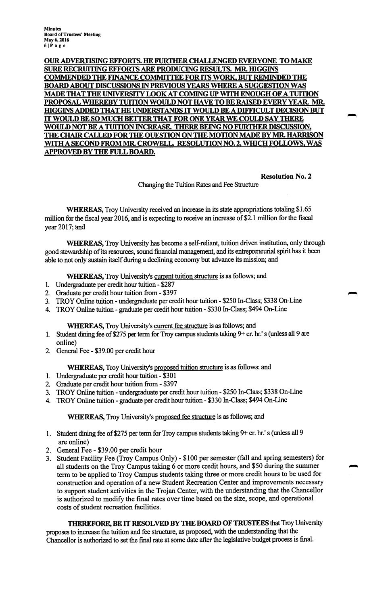**OUR ADVERTISING EFFORTS. HE FURTHER CHALLENGED EVERYONE TO MAKE SURE RECRUITING EFFORTS ARE PRODUCING RESULTS.MR. mGGINS COMMENDEDTHE FINANCE COMMITTEE FOR ITS WORK, BUT REMINDED THE BOARD ABOUT DISCUSSIONS** IN **PREVIOUS YEARS WHERE A SUGGESTION WAS MADE THAT THE UNIVERSITY LOOK AT COMING UP WITH ENOUGH OF A TUITION PROPOSAL WHEREBY TUITION WOULD NOT HA VE TO BE RAISED EVERY YEAR. MR. HIGGINS ADDED THAT HE UNDERSTANDS** IT **WOULD BE A DIFFICULT DECISION BUT**  IT WOULD BE SO MUCH BETTER THAT FOR ONE YEAR WE COULD SAY THERE **WOULD NOT BE A TUITION INCREASE. THERE BEING NO FURTHER DISCUSSION, THE CHAIR CALLED FOR THE QUESTION ON THE MOTION MADE BY MR. HARRISON WITH A SECOND FROM MR. CROWELL. RESOLUTION NO. 2, WHICH FOLLOWS, WAS APPROVED BY THE FULL BOARD.** 

**Resolution No. 2** 

Changing the Tuition Rates and Fee Structure

**WHEREAS,**Troy University received an increase in its state appropriations totaling \$1.65 million for the fiscal year 2016, and is expecting to receive an increase of \$2.1 million for the fiscal year 2017; and

**WHEREAS,**Troy University has become a self-reliant, tuition driven institution, only through good stewardship of its resources, sound financial management, and its entrepreneurial spirit has it been able to not only sustain itself during a declining economy but advance its mission; and

**WHEREAS,**Troy University's current tuition structure is as follows; and

- 1. Undergraduate per credit hour tuition \$287
- 2. Graduate per credit hour tuition from \$397
- 3. TROY Online tuition undergraduate per credit hour tuition \$250 In-Class; \$338 On-Line
- 4. TROY Online tuition graduate per credit hour tuition \$330 In-Class; \$494 On-Line

## **WHEREAS,**Troy University's current fee structure is as follows; and

- 1. Student dining fee of \$275 per term for Troy campus students taking 9+ cr. hr.'s (unless all 9 are online)
- 2 General Fee \$39.00 per credit hour

# **WHEREAS,**Troy University's proposed tuition structure is as follows; and

- 1. Undergraduate per credit hour tuition \$301
- 2. Graduate per credit hour tuition from \$397
- 3. TROY Online tuition undergraduate per credit hour tuition \$250 In-Class; \$338 On-Line
- 4. TROY Online tuition graduate per credit hour tuition \$330 In-Class; \$494 On-Line

## **WHEREAS,**Troy University's proposed fee structure is as follows; and

- 1. Student dining fee of \$275 per term for Troy campus students taking 9+ cr. hr.'s (unless all 9 are online)
- 2. General Fee \$39.00 per credit hour
- 3. Student Facility Fee (Troy Campus Only) \$100 per semester (fall and spring semesters) for all students on the Troy Campus taking 6 or more credit hours, and \$50 during the summer term to be applied to Troy Campus students taking three or more credit hours to be used for construction and operation of a new Student Recreation Center and improvements necessary to support student activities in the Trojan Center, with the understanding that the Chancellor is authorized to modify the final rates over time based on the size, scope, and operational costs of student recreation facilities.

**THEREFORE,BE**IT **RESOLVED BY THE BOARD OF TRUSTEES** that Troy University proposes to increase the tuition and fee structure, as proposed, with the understanding that the Chancellor is authorized to set the final rate at some date after the legislative budget process is final.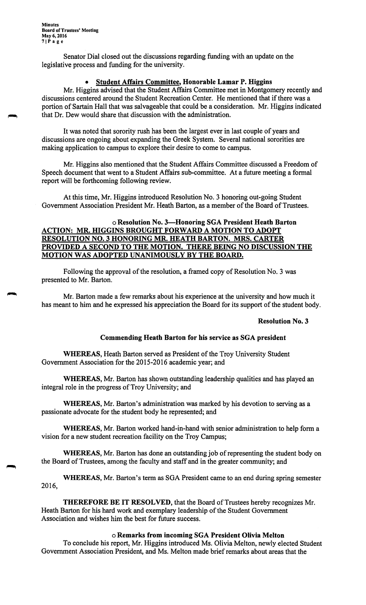Senator Dial closed out the discussions regarding funding with an update on the legislative process and funding for the university.

### • **Student Affairs Committee, Honorable Lamar P. Higgins**

Mr. Higgins advised that the Student Affairs Committee met in Montgomery recently and discussions centered around the Student Recreation Center. He mentioned that if there was a portion of Sartain Hall that was salvageable that could be a consideration. Mr. Higgins indicated that Dr. Dew would share that discussion with the administration.

It was noted that sorority rush has been the largest ever in last couple of years and discussions are ongoing about expanding the Greek System. Several national sororities are making application to campus to explore their desire to come to campus.

Mr. Higgins also mentioned that the Student Affairs Committee discussed a Freedom of Speech document that went to a Student Affairs sub-committee. At a future meeting a formal report will be forthcoming following review.

At this time, Mr. Higgins introduced Resolution No. 3 honoring out-going Student Government Association President Mr. Heath Barton, as a member of the Board of Trustees.

# o **Resolution No. 3-Honoring SGA President Heath Barton ACTION: MR. HIGGINS BROUGHT FORWARD A MOTION TO ADOPT RESOLUTION NO. 3 HONORING MR. HEATH BARTON. MRS. CARTER PROVIDED A SECOND TO THE MOTION. THERE BEING NO DISCUSSION THE MOTION WAS ADOPTED UNANIMOUSLY BY THE BOARD.**

Following the approval of the resolution, a framed copy of Resolution No. 3 was presented to Mr. Barton.

Mr. Barton made a few remarks about his experience at the university and how much it has meant to him and he expressed his appreciation the Board for its support of the student body.

## **Resolution No. 3**

## **Commending Heath Barton for his service as SGA president**

**WHEREAS,** Heath Barton served as President of the Troy University Student Government Association for the 2015-2016 academic year; and

**WHEREAS,** Mr. Barton has shown outstanding leadership qualities and has played an integral role in the progress of Troy University; and

**WHEREAS,** Mr. Barton's administration was marked by his devotion to serving as a passionate advocate for the student body he represented; and

**WHEREAS,** Mr. Barton worked hand-in-hand with senior administration to help form a vision for a new student recreation facility on the Troy Campus;

**WHEREAS,** Mr. Barton has done an outstanding job of representing the student body on the Board of Trustees, among the faculty and staff and in the greater community; and

**WHEREAS,** Mr. Barton's term as SGA President came to an end during spring semester 2016,

**THEREFORE BE IT RESOLVED,** that the Board of Trustees hereby recognizes Mr. Heath Barton for his hard work and exemplary leadership of the Student Government Association and wishes him the best for future success.

## o **Remarks from incoming SGA President Olivia Melton**

To conclude his report, Mr. Higgins introduced Ms. Olivia Melton, newly elected Student Government Association President, and Ms. Melton made brief remarks about areas that the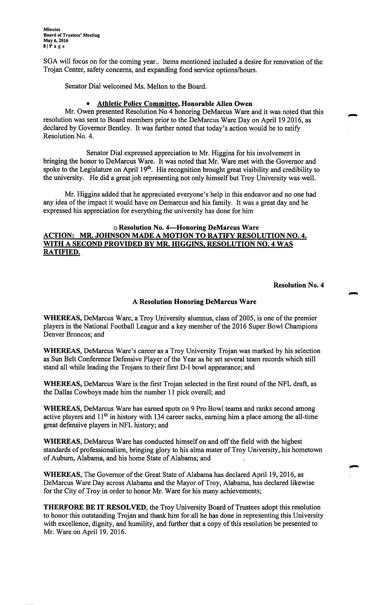**Minutes Board of Trustees' Meeting May 6, 2016 81Page** 

SGA will focus on for the coming year.. Items mentioned included a desire for renovation of the Trojan Center, safety concerns, and expanding food service options/hours.

Senator Dial welcomed Ms. Melton to the Board.

### • **Athletic Policy Committee, Honorable Allen Owen**

Mr. Owen presented Resolution No 4 honoring DeMarcus Ware and it was noted that this resolution was sent to Board members prior to the DeMarcus Ware Day on April 19 2016, as declared by Governor Bentley. It was further noted that today's action would be to ratify Resolution No. 4.

Senator Dial expressed appreciation to Mr. Higgins for his involvement in bringing the honor to DeMarcus Ware. It was noted that Mr. Ware met with the Governor and spoke to the Legislature on April 19<sup>th</sup>. His recognition brought great visibility and credibility to the university. He did a great job representing not only himself but Troy University was well.

Mr. Higgins added that he appreciated everyone's help in this endeavor and no one had any idea of the impact it would have on Demarcus and his family. It was a great day and he expressed his appreciation for everything the university has done for him

### **oResolution No. 4-Honoring DeMarcus Ware ACTION: MR. JOHNSON MADE A MOTION TO RATIFY RESOLUTION NO. 4. WITH A SECOND PROVIDED BY MR. HIGGINS, RESOLUTION NO. 4 WAS RATIFIED.**

#### **Resolution No. 4**

#### **A Resolution Honoring DeMarcus Ware**

**WHEREAS,** DeMarcus Ware, a Troy University alumnus, class of 2005, is one of the premier players in the National Football League and a key member of the 2016 Super Bowl Champions Denver Broncos; and

**WHEREAS,** DeMarcus Ware's career as a Troy University Trojan was marked by his selection as Sun Belt Conference Defensive Player of the Year as he set several team records which still stand all while leading the Trojans to their first D-1 bowl appearance; and

**WHEREAS,** DeMarcus Ware is the first Trojan selected in the first round of the NFL draft, as the Dallas Cowboys made him the number 11 pick overall; and

**WHEREAS,** DeMarcus Ware has earned spots on 9 Pro Bowl teams and ranks second among active players and  $11<sup>th</sup>$  in history with 134 career sacks, earning him a place among the all-time great defensive players in NFL history; and

**WHEREAS,** DeMarcus Ware has conducted himself on and off the field with the highest standards of professionalism, bringing glory to his alma mater of Troy University, his hometown of Auburn, Alabama, and his home State of Alabama; and

**WHEREAS,** The Governor of the Great State of Alabama has declared April 19, 2016, as DeMarcus Ware Day across Alabama and the Mayor of Troy, Alabama, has declared likewise for the City of Troy in order to honor Mr. Ware for his many achievements;

**THERFORE BE IT RESOLVED,** the Troy University Board of Trustees adopt this resolution to honor this outstanding Trojan and thank him for all he has done in representing this University with excellence, dignity, and humility, and further that a copy of this resolution be presented to Mr. Ware on April 19. 2016.